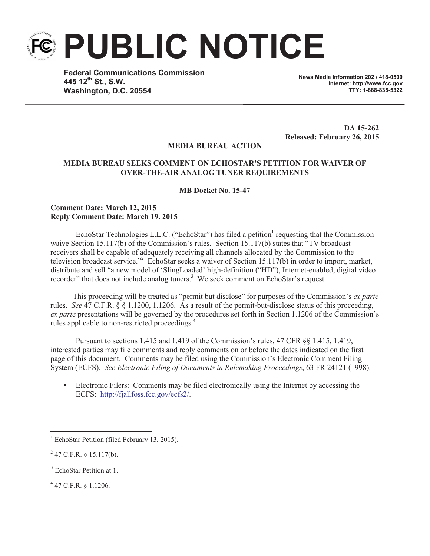**PUBLIC NOTICE**

**Federal Communications Commission 445 12th St., S.W. Washington, D.C. 20554**

**News Media Information 202 / 418-0500 Internet: http://www.fcc.gov TTY: 1-888-835-5322**

**DA 15-262 Released: February 26, 2015**

## **MEDIA BUREAU ACTION**

## **MEDIA BUREAU SEEKS COMMENT ON ECHOSTAR'S PETITION FOR WAIVER OF OVER-THE-AIR ANALOG TUNER REQUIREMENTS**

**MB Docket No. 15-47**

## **Comment Date: March 12, 2015 Reply Comment Date: March 19. 2015**

EchoStar Technologies L.L.C. ("EchoStar") has filed a petition<sup>1</sup> requesting that the Commission waive Section 15.117(b) of the Commission's rules. Section 15.117(b) states that "TV broadcast receivers shall be capable of adequately receiving all channels allocated by the Commission to the television broadcast service."<sup>2</sup> EchoStar seeks a waiver of Section 15.117(b) in order to import, market, distribute and sell "a new model of 'SlingLoaded' high-definition ("HD"), Internet-enabled, digital video recorder" that does not include analog tuners.<sup>3</sup> We seek comment on EchoStar's request.

This proceeding will be treated as "permit but disclose" for purposes of the Commission's *ex parte* rules. *See* 47 C.F.R. § § 1.1200, 1.1206. As a result of the permit-but-disclose status of this proceeding, *ex parte* presentations will be governed by the procedures set forth in Section 1.1206 of the Commission's rules applicable to non-restricted proceedings.<sup>4</sup>

Pursuant to sections 1.415 and 1.419 of the Commission's rules, 47 CFR §§ 1.415, 1.419, interested parties may file comments and reply comments on or before the dates indicated on the first page of this document. Comments may be filed using the Commission's Electronic Comment Filing System (ECFS). *See Electronic Filing of Documents in Rulemaking Proceedings*, 63 FR 24121 (1998).

Electronic Filers: Comments may be filed electronically using the Internet by accessing the ECFS: http://fjallfoss.fcc.gov/ecfs2/.

 $1$  EchoStar Petition (filed February 13, 2015).

 $^{2}$  47 C.F.R. § 15.117(b).

<sup>&</sup>lt;sup>3</sup> EchoStar Petition at 1.

<sup>4</sup> 47 C.F.R. § 1.1206.